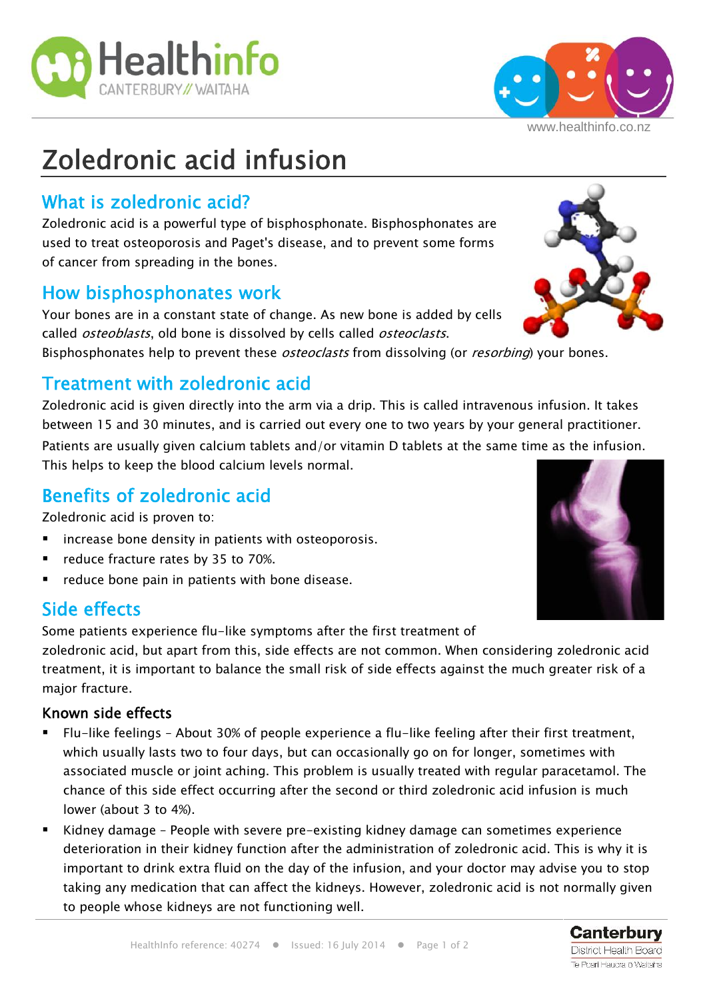

# **Zoledronic acid infusion**

**Healthinfo** 

## **What is zoledronic acid?**

Zoledronic acid is a powerful type of bisphosphonate. Bisphosphonates are used to treat osteoporosis and Paget's disease, and to prevent some forms of cancer from spreading in the bones.

## **How bisphosphonates work**

Your bones are in a constant state of change. As new bone is added by cells called *osteoblasts*, old bone is dissolved by cells called *osteoclasts*.

Bisphosphonates help to prevent these *osteoclasts* from dissolving (or *resorbing*) your bones.

## **Treatment with zoledronic acid**

Zoledronic acid is given directly into the arm via a drip. This is called intravenous infusion. It takes between 15 and 30 minutes, and is carried out every one to two years by your general practitioner. Patients are usually given calcium tablets and/or vitamin D tablets at the same time as the infusion. This helps to keep the blood calcium levels normal.

### **Benefits of zoledronic acid**

Zoledronic acid is proven to:

- **EXECTE:** increase bone density in patients with osteoporosis.
- reduce fracture rates by 35 to 70%.
- **•** reduce bone pain in patients with bone disease.

## **Side effects**

Some patients experience flu-like symptoms after the first treatment of zoledronic acid, but apart from this, side effects are not common. When considering zoledronic acid treatment, it is important to balance the small risk of side effects against the much greater risk of a major fracture.

#### **Known side effects**

- Flu-like feelings About 30% of people experience a flu-like feeling after their first treatment, which usually lasts two to four days, but can occasionally go on for longer, sometimes with associated muscle or joint aching. This problem is usually treated with regular paracetamol. The chance of this side effect occurring after the second or third zoledronic acid infusion is much lower (about 3 to 4%).
- Kidney damage People with severe pre-existing kidney damage can sometimes experience deterioration in their kidney function after the administration of zoledronic acid. This is why it is important to drink extra fluid on the day of the infusion, and your doctor may advise you to stop taking any medication that can affect the kidneys. However, zoledronic acid is not normally given to people whose kidneys are not functioning well.